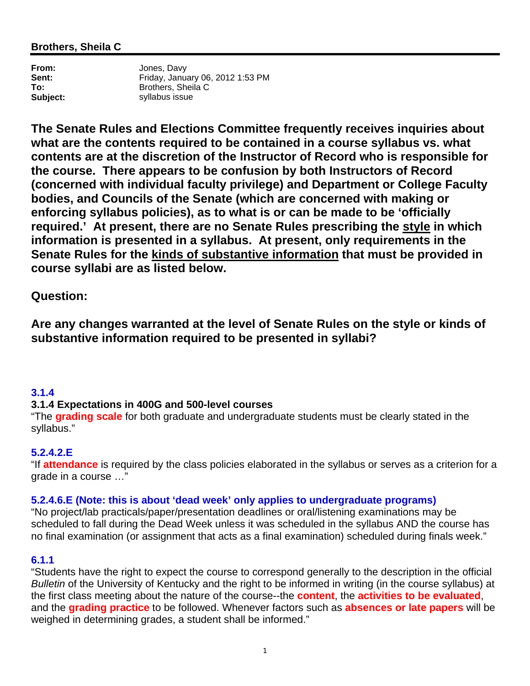### **Brothers, Sheila C**

**From:** Jones, Davy **Sent:** Friday, January 06, 2012 1:53 PM<br> **To:** Brothers, Sheila C **To:** Brothers, Sheila C **Subject:** syllabus issue

**The Senate Rules and Elections Committee frequently receives inquiries about what are the contents required to be contained in a course syllabus vs. what contents are at the discretion of the Instructor of Record who is responsible for the course. There appears to be confusion by both Instructors of Record (concerned with individual faculty privilege) and Department or College Faculty bodies, and Councils of the Senate (which are concerned with making or enforcing syllabus policies), as to what is or can be made to be 'officially required.' At present, there are no Senate Rules prescribing the style in which information is presented in a syllabus. At present, only requirements in the Senate Rules for the kinds of substantive information that must be provided in course syllabi are as listed below.** 

**Question:** 

**Are any changes warranted at the level of Senate Rules on the style or kinds of substantive information required to be presented in syllabi?** 

### **3.1.4**

# **3.1.4 Expectations in 400G and 500-level courses**

"The **grading scale** for both graduate and undergraduate students must be clearly stated in the syllabus."

# **5.2.4.2.E**

"If **attendance** is required by the class policies elaborated in the syllabus or serves as a criterion for a grade in a course …"

### **5.2.4.6.E (Note: this is about 'dead week' only applies to undergraduate programs)**

"No project/lab practicals/paper/presentation deadlines or oral/listening examinations may be scheduled to fall during the Dead Week unless it was scheduled in the syllabus AND the course has no final examination (or assignment that acts as a final examination) scheduled during finals week."

### **6.1.1**

"Students have the right to expect the course to correspond generally to the description in the official *Bulletin* of the University of Kentucky and the right to be informed in writing (in the course syllabus) at the first class meeting about the nature of the course--the **content**, the **activities to be evaluated**, and the **grading practice** to be followed. Whenever factors such as **absences or late papers** will be weighed in determining grades, a student shall be informed."